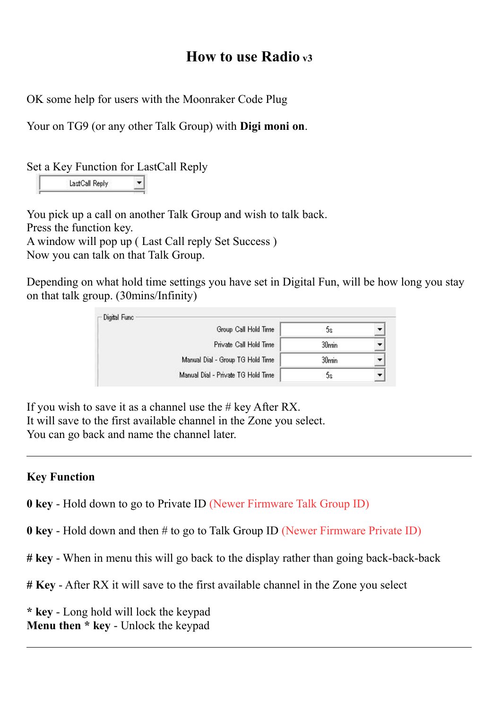## **How to use Radio v3**

OK some help for users with the Moonraker Code Plug

Your on TG9 (or any other Talk Group) with **Digi moni on**.

Set a Key Function for LastCall Reply

LastCall Reply

You pick up a call on another Talk Group and wish to talk back. Press the function key. A window will pop up ( Last Call reply Set Success ) Now you can talk on that Talk Group.

Depending on what hold time settings you have set in Digital Fun, will be how long you stay on that talk group. (30mins/Infinity)

| Group Call Hold Time               | 2C                |  |
|------------------------------------|-------------------|--|
| Private Call Hold Time             | 30 <sub>min</sub> |  |
| Manual Dial - Group TG Hold Time   | 30 <sub>min</sub> |  |
| Manual Dial - Private TG Hold Time | 2C                |  |

If you wish to save it as a channel use the  $\#$  key After RX. It will save to the first available channel in the Zone you select. You can go back and name the channel later.

## **Key Function**

**0 key** - Hold down to go to Private ID (Newer Firmware Talk Group ID)

**0 key** - Hold down and then # to go to Talk Group ID (Newer Firmware Private ID)

**# key** - When in menu this will go back to the display rather than going back-back-back

**# Key** - After RX it will save to the first available channel in the Zone you select

**\* key** - Long hold will lock the keypad **Menu then \* key** - Unlock the keypad